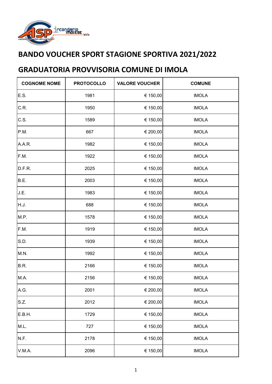

| <b>COGNOME NOME</b> | <b>PROTOCOLLO</b> | <b>VALORE VOUCHER</b> | <b>COMUNE</b> |
|---------------------|-------------------|-----------------------|---------------|
| E.S.                | 1981              | € 150,00              | <b>IMOLA</b>  |
| C.R.                | 1950              | € 150,00              | <b>IMOLA</b>  |
| C.S.                | 1589              | € 150,00              | <b>IMOLA</b>  |
| P.M.                | 667               | € 200,00              | <b>IMOLA</b>  |
| A.A.R.              | 1982              | € 150,00              | <b>IMOLA</b>  |
| F.M.                | 1922              | € 150,00              | <b>IMOLA</b>  |
| D.F.R.              | 2025              | € 150,00              | <b>IMOLA</b>  |
| B.E.                | 2003              | € 150,00              | <b>IMOLA</b>  |
| J.E.                | 1983              | € 150,00              | <b>IMOLA</b>  |
| H.J.                | 688               | € 150,00              | <b>IMOLA</b>  |
| M.P.                | 1578              | € 150,00              | <b>IMOLA</b>  |
| F.M.                | 1919              | € 150,00              | <b>IMOLA</b>  |
| S.D.                | 1939              | € 150,00              | <b>IMOLA</b>  |
| M.N.                | 1992              | € 150,00              | <b>IMOLA</b>  |
| B.R.                | 2166              | € 150,00              | <b>IMOLA</b>  |
| M.A.                | 2156              | € 150,00              | <b>IMOLA</b>  |
| A.G.                | 2001              | € 200,00              | <b>IMOLA</b>  |
| S.Z.                | 2012              | € 200,00              | <b>IMOLA</b>  |
| E.B.H.              | 1729              | € 150,00              | <b>IMOLA</b>  |
| M.L.                | 727               | € 150,00              | <b>IMOLA</b>  |
| N.F.                | 2178              | € 150,00              | <b>IMOLA</b>  |
| V.M.A.              | 2096              | € 150,00              | <b>IMOLA</b>  |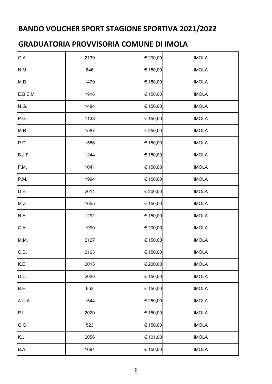| G.A.     | 2139 | € 200,00 | <b>IMOLA</b> |
|----------|------|----------|--------------|
| N.M.     | 846  | € 150,00 | <b>IMOLA</b> |
| M.D.     | 1470 | € 150,00 | <b>IMOLA</b> |
| E.B.E.M. | 1916 | € 150,00 | <b>IMOLA</b> |
| N.G.     | 1484 | € 150,00 | <b>IMOLA</b> |
| P.G.     | 1138 | € 150,00 | <b>IMOLA</b> |
| M.R.     | 1587 | € 250,00 | <b>IMOLA</b> |
| P.D.     | 1586 | € 150,00 | <b>IMOLA</b> |
| B.J.F.   | 1244 | € 150,00 | <b>IMOLA</b> |
| F.M.     | 1041 | € 150,00 | <b>IMOLA</b> |
| P.M.     | 1994 | € 150,00 | <b>IMOLA</b> |
| D.E.     | 2011 | € 200,00 | <b>IMOLA</b> |
| M.Z.     | 1655 | € 150,00 | <b>IMOLA</b> |
| N.A.     | 1291 | € 150,00 | <b>IMOLA</b> |
| C.A.     | 1990 | € 200,00 | <b>IMOLA</b> |
| M.M.     | 2127 | € 150,00 | <b>IMOLA</b> |
| C.D.     | 2163 | € 150,00 | <b>IMOLA</b> |
| K.E.     | 2013 | € 200,00 | <b>IMOLA</b> |
| D.C.     | 2026 | € 150,00 | <b>IMOLA</b> |
| B.H.     | 653  | € 150,00 | <b>IMOLA</b> |
| A.U.A.   | 1544 | € 250,00 | <b>IMOLA</b> |
| P.L.     | 2020 | € 150,00 | <b>IMOLA</b> |
| G.G.     | 523  | € 150,00 | <b>IMOLA</b> |
| K.J.     | 2056 | € 101,00 | <b>IMOLA</b> |
| B.A.     | 1691 | € 150,00 | <b>IMOLA</b> |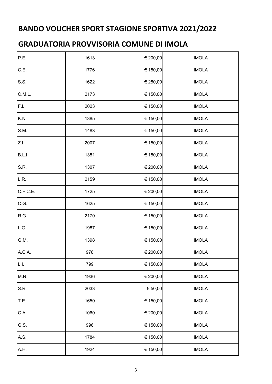| P.E.     | 1613 | € 200,00    | <b>IMOLA</b> |
|----------|------|-------------|--------------|
| C.E.     | 1776 | € 150,00    | <b>IMOLA</b> |
| S.S.     | 1622 | € 250,00    | <b>IMOLA</b> |
| C.M.L.   | 2173 | € 150,00    | <b>IMOLA</b> |
| F.L.     | 2023 | € 150,00    | <b>IMOLA</b> |
| K.N.     | 1385 | € 150,00    | <b>IMOLA</b> |
| S.M.     | 1483 | € 150,00    | <b>IMOLA</b> |
| Z.I.     | 2007 | € 150,00    | <b>IMOLA</b> |
| B.L.I.   | 1351 | € 150,00    | <b>IMOLA</b> |
| S.R.     | 1307 | € 200,00    | <b>IMOLA</b> |
| L.R.     | 2159 | € 150,00    | <b>IMOLA</b> |
| C.F.C.E. | 1725 | € 200,00    | <b>IMOLA</b> |
| C.G.     | 1625 | € 150,00    | <b>IMOLA</b> |
| R.G.     | 2170 | € 150,00    | <b>IMOLA</b> |
| L.G.     | 1987 | € 150,00    | <b>IMOLA</b> |
| G.M.     | 1398 | € 150,00    | <b>IMOLA</b> |
| A.C.A.   | 978  | € 200,00    | <b>IMOLA</b> |
| L.I.     | 799  | € 150,00    | <b>IMOLA</b> |
| M.N.     | 1936 | € 200,00    | <b>IMOLA</b> |
| S.R.     | 2033 | $\in$ 50,00 | <b>IMOLA</b> |
| T.E.     | 1650 | € 150,00    | <b>IMOLA</b> |
| C.A.     | 1060 | € 200,00    | <b>IMOLA</b> |
| G.S.     | 996  | € 150,00    | <b>IMOLA</b> |
| A.S.     | 1784 | € 150,00    | <b>IMOLA</b> |
| A.H.     | 1924 | € 150,00    | <b>IMOLA</b> |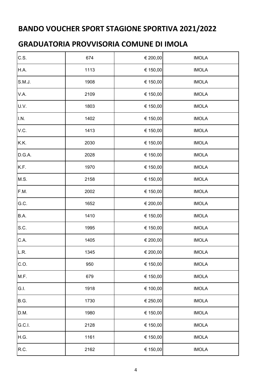| C.S.   | 674  | € 200,00 | <b>IMOLA</b> |
|--------|------|----------|--------------|
| H.A.   | 1113 | € 150,00 | <b>IMOLA</b> |
| S.M.J. | 1908 | € 150,00 | <b>IMOLA</b> |
| V.A.   | 2109 | € 150,00 | <b>IMOLA</b> |
| U.V.   | 1803 | € 150,00 | <b>IMOLA</b> |
| I.N.   | 1402 | € 150,00 | <b>IMOLA</b> |
| V.C.   | 1413 | € 150,00 | <b>IMOLA</b> |
| K.K.   | 2030 | € 150,00 | <b>IMOLA</b> |
| D.G.A. | 2028 | € 150,00 | <b>IMOLA</b> |
| K.F.   | 1970 | € 150,00 | <b>IMOLA</b> |
| M.S.   | 2158 | € 150,00 | <b>IMOLA</b> |
| F.M.   | 2002 | € 150,00 | <b>IMOLA</b> |
| G.C.   | 1652 | € 200,00 | <b>IMOLA</b> |
| B.A.   | 1410 | € 150,00 | <b>IMOLA</b> |
| S.C.   | 1995 | € 150,00 | <b>IMOLA</b> |
| C.A.   | 1405 | € 200,00 | <b>IMOLA</b> |
| L.R.   | 1345 | € 200,00 | <b>IMOLA</b> |
| C.O.   | 950  | € 150,00 | <b>IMOLA</b> |
| M.F.   | 679  | € 150,00 | <b>IMOLA</b> |
| G.I.   | 1918 | € 100,00 | <b>IMOLA</b> |
| B.G.   | 1730 | € 250,00 | <b>IMOLA</b> |
| D.M.   | 1980 | € 150,00 | <b>IMOLA</b> |
| G.C.I. | 2128 | € 150,00 | <b>IMOLA</b> |
| H.G.   | 1161 | € 150,00 | <b>IMOLA</b> |
| R.C.   | 2162 | € 150,00 | <b>IMOLA</b> |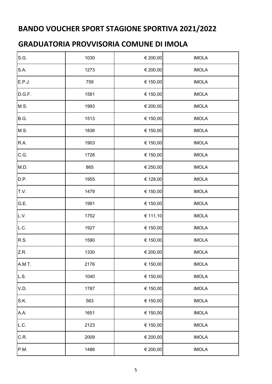| S.G.   | 1030 | € 200,00 | <b>IMOLA</b> |
|--------|------|----------|--------------|
| S.A.   | 1273 | € 200,00 | <b>IMOLA</b> |
| E.P.J. | 759  | € 150,00 | <b>IMOLA</b> |
| D.G.F. | 1581 | € 150,00 | <b>IMOLA</b> |
| M.S.   | 1993 | € 200,00 | <b>IMOLA</b> |
| B.G.   | 1513 | € 150,00 | <b>IMOLA</b> |
| M.S.   | 1836 | € 150,00 | <b>IMOLA</b> |
| R.A.   | 1903 | € 150,00 | <b>IMOLA</b> |
| C.G.   | 1726 | € 150,00 | <b>IMOLA</b> |
| M.D.   | 865  | € 250,00 | <b>IMOLA</b> |
| D.P.   | 1955 | € 128,00 | <b>IMOLA</b> |
| T.V.   | 1479 | € 150,00 | <b>IMOLA</b> |
| G.E.   | 1991 | € 150,00 | <b>IMOLA</b> |
| L.V.   | 1752 | € 111,10 | <b>IMOLA</b> |
| L.C.   | 1927 | € 150,00 | <b>IMOLA</b> |
| R.S.   | 1590 | € 150,00 | <b>IMOLA</b> |
| Z.R.   | 1330 | € 200,00 | <b>IMOLA</b> |
| A.M.T. | 2176 | € 150,00 | <b>IMOLA</b> |
| L.S.   | 1040 | € 150,00 | <b>IMOLA</b> |
| V.D.   | 1787 | € 150,00 | <b>IMOLA</b> |
| S.K.   | 563  | € 150,00 | <b>IMOLA</b> |
| A.A.   | 1651 | € 150,00 | <b>IMOLA</b> |
| L.C.   | 2123 | € 150,00 | <b>IMOLA</b> |
| C.R.   | 2009 | € 200,00 | <b>IMOLA</b> |
| P.M.   | 1486 | € 200,00 | <b>IMOLA</b> |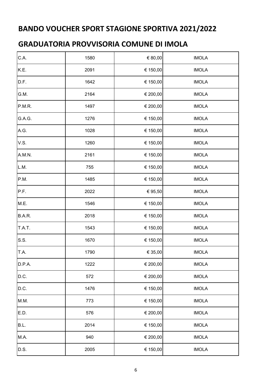| C.A.          | 1580 | € 80,00  | <b>IMOLA</b> |
|---------------|------|----------|--------------|
| K.E.          | 2091 | € 150,00 | <b>IMOLA</b> |
| D.F.          | 1642 | € 150,00 | <b>IMOLA</b> |
| G.M.          | 2164 | € 200,00 | <b>IMOLA</b> |
| P.M.R.        | 1497 | € 200,00 | <b>IMOLA</b> |
| G.A.G.        | 1276 | € 150,00 | <b>IMOLA</b> |
| A.G.          | 1028 | € 150,00 | <b>IMOLA</b> |
| V.S.          | 1260 | € 150,00 | <b>IMOLA</b> |
| A.M.N.        | 2161 | € 150,00 | <b>IMOLA</b> |
| L.M.          | 755  | € 150,00 | <b>IMOLA</b> |
| P.M.          | 1485 | € 150,00 | <b>IMOLA</b> |
| P.F.          | 2022 | € 95,50  | <b>IMOLA</b> |
| M.E.          | 1546 | € 150,00 | <b>IMOLA</b> |
| <b>B.A.R.</b> | 2018 | € 150,00 | <b>IMOLA</b> |
| T.A.T.        | 1543 | € 150,00 | <b>IMOLA</b> |
| S.S.          | 1670 | € 150,00 | <b>IMOLA</b> |
| T.A.          | 1790 | € 35,00  | <b>IMOLA</b> |
| D.P.A.        | 1222 | € 200,00 | <b>IMOLA</b> |
| D.C.          | 572  | € 200,00 | <b>IMOLA</b> |
| D.C.          | 1476 | € 150,00 | <b>IMOLA</b> |
| M.M.          | 773  | € 150,00 | <b>IMOLA</b> |
| E.D.          | 576  | € 200,00 | <b>IMOLA</b> |
| B.L.          | 2014 | € 150,00 | <b>IMOLA</b> |
| M.A.          | 940  | € 200,00 | <b>IMOLA</b> |
| D.S.          | 2005 | € 150,00 | <b>IMOLA</b> |